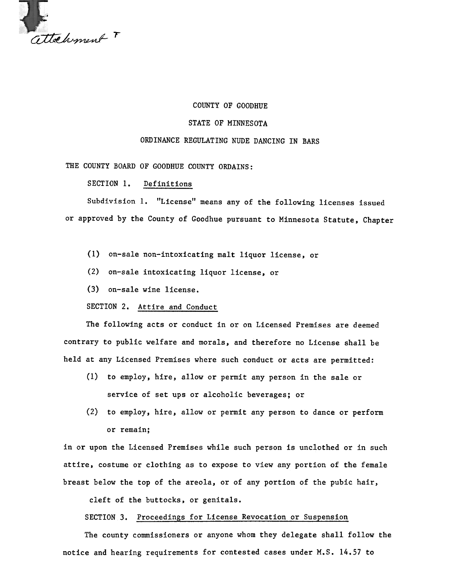

## COUNTY OF GOODHUE

## STATE OF MINNESOTA

## ORDINANCE REGULATING NUDE DANCING IN BARS

THE COUNTY BOARD OF GOODHUE COUNTY ORDAINS:

SECTION 1. Definitions

Subdivision 1. "License" means any of the following licenses issued or approved by the County of Goodhue pursuant to Minnesota Statute, Chapter

- (1) on-sale non-intoxicating malt liquor license, or
- (2) on-sale intoxicating liquor license, or
- (3) on-sale wine license.

SECTION 2. Attire and Conduct

The following acts or conduct in or on Licensed Premises are deemed contrary to public welfare and morals, and therefore no License shall be held at any Licensed Premises where such conduct or acts are permitted:

- (1) to employ, hire, allow or permit any person in the sale or service of set ups or alcoholic beverages; or
- (2) to employ, hire, allow or permit any person to dance or perform or remain;

in or upon the Licensed Premises while such person is unclothed or in such attire, costume or clothing as to expose to view any portion of the female breast below the top of the areola, or of any portion of the pubic hair,

cleft of the buttocks, or genitals.

SECTION 3. Proceedings for License Revocation or Suspension

The county commissioners or anyone whom they delegate shall follow the notice and hearing requirements for contested cases under M.S. 14.57 to